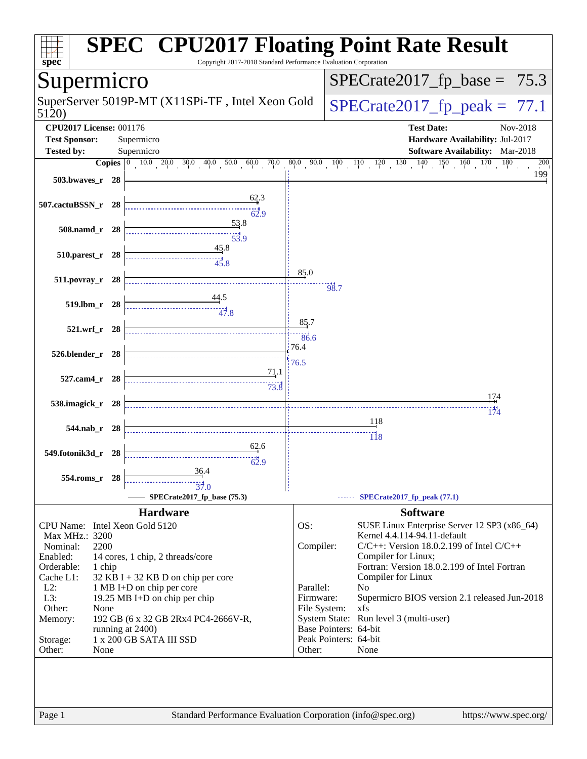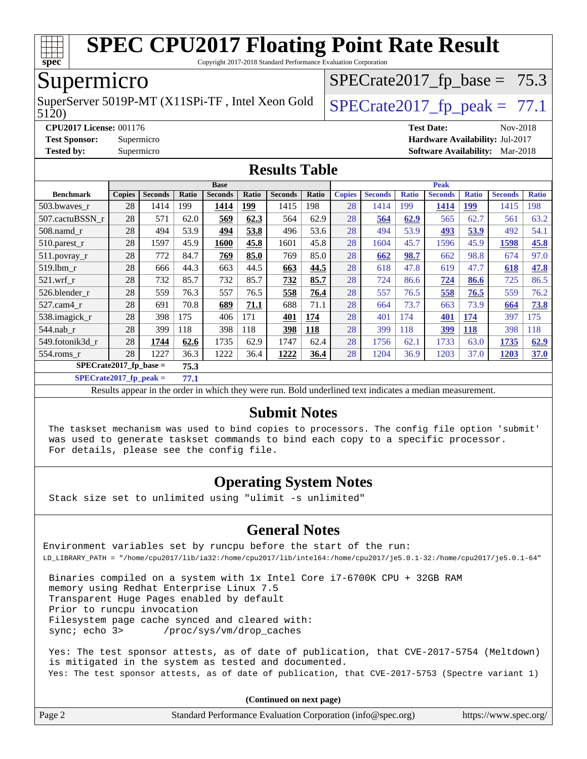

Copyright 2017-2018 Standard Performance Evaluation Corporation

### Supermicro

5120) SuperServer 5019P-MT (X11SPi-TF, Intel Xeon Gold  $\big|$  SPECrate 2017 fp peak = 77.1

 $SPECTate2017_fp\_base = 75.3$ 

**[CPU2017 License:](http://www.spec.org/auto/cpu2017/Docs/result-fields.html#CPU2017License)** 001176 **[Test Date:](http://www.spec.org/auto/cpu2017/Docs/result-fields.html#TestDate)** Nov-2018 **[Test Sponsor:](http://www.spec.org/auto/cpu2017/Docs/result-fields.html#TestSponsor)** Supermicro **[Hardware Availability:](http://www.spec.org/auto/cpu2017/Docs/result-fields.html#HardwareAvailability)** Jul-2017 **[Tested by:](http://www.spec.org/auto/cpu2017/Docs/result-fields.html#Testedby)** Supermicro **[Software Availability:](http://www.spec.org/auto/cpu2017/Docs/result-fields.html#SoftwareAvailability)** Mar-2018

#### **[Results Table](http://www.spec.org/auto/cpu2017/Docs/result-fields.html#ResultsTable)**

|                                | <b>Base</b>   |                |       |                | <b>Peak</b> |                |       |               |                |              |                |              |                |              |
|--------------------------------|---------------|----------------|-------|----------------|-------------|----------------|-------|---------------|----------------|--------------|----------------|--------------|----------------|--------------|
| <b>Benchmark</b>               | <b>Copies</b> | <b>Seconds</b> | Ratio | <b>Seconds</b> | Ratio       | <b>Seconds</b> | Ratio | <b>Copies</b> | <b>Seconds</b> | <b>Ratio</b> | <b>Seconds</b> | <b>Ratio</b> | <b>Seconds</b> | <b>Ratio</b> |
| 503.bwayes r                   | 28            | 1414           | 199   | 1414           | 199         | 1415           | 198   | 28            | 1414           | 199          | 1414           | <u> 199</u>  | 1415           | 198          |
| 507.cactuBSSN r                | 28            | 571            | 62.0  | 569            | 62.3        | 564            | 62.9  | 28            | 564            | 62.9         | 565            | 62.7         | 561            | 63.2         |
| $508$ .namd $r$                | 28            | 494            | 53.9  | 494            | 53.8        | 496            | 53.6  | 28            | 494            | 53.9         | 493            | 53.9         | 492            | 54.1         |
| $510.parest_r$                 | 28            | 1597           | 45.9  | 1600           | 45.8        | 1601           | 45.8  | 28            | 1604           | 45.7         | 1596           | 45.9         | 1598           | 45.8         |
| 511.povray_r                   | 28            | 772            | 84.7  | 769            | 85.0        | 769            | 85.0  | 28            | 662            | 98.7         | 662            | 98.8         | 674            | 97.0         |
| 519.1bm r                      | 28            | 666            | 44.3  | 663            | 44.5        | 663            | 44.5  | 28            | 618            | 47.8         | 619            | 47.7         | 618            | 47.8         |
| $521$ .wrf r                   | 28            | 732            | 85.7  | 732            | 85.7        | 732            | 85.7  | 28            | 724            | 86.6         | 724            | 86.6         | 725            | 86.5         |
| 526.blender r                  | 28            | 559            | 76.3  | 557            | 76.5        | 558            | 76.4  | 28            | 557            | 76.5         | 558            | 76.5         | 559            | 76.2         |
| 527.cam4 r                     | 28            | 691            | 70.8  | 689            | 71.1        | 688            | 71.1  | 28            | 664            | 73.7         | 663            | 73.9         | 664            | 73.8         |
| 538.imagick_r                  | 28            | 398            | 175   | 406            | 171         | 401            | 174   | 28            | 401            | 174          | 401            | 174          | 397            | 175          |
| $544$ .nab_r                   | 28            | 399            | 118   | 398            | 118         | 398            | 118   | 28            | 399            | 118          | 399            | <b>118</b>   | 398            | 118          |
| 549.fotonik3d_r                | 28            | 1744           | 62.6  | 1735           | 62.9        | 1747           | 62.4  | 28            | 1756           | 62.1         | 1733           | 63.0         | 1735           | 62.9         |
| 554.roms r                     | 28            | 1227           | 36.3  | 1222           | 36.4        | 1222           | 36.4  | 28            | 1204           | 36.9         | 1203           | 37.0         | 1203           | 37.0         |
| SPECrate2017_fp_base =<br>75.3 |               |                |       |                |             |                |       |               |                |              |                |              |                |              |

**[SPECrate2017\\_fp\\_peak =](http://www.spec.org/auto/cpu2017/Docs/result-fields.html#SPECrate2017fppeak) 77.1**

Results appear in the [order in which they were run.](http://www.spec.org/auto/cpu2017/Docs/result-fields.html#RunOrder) Bold underlined text [indicates a median measurement.](http://www.spec.org/auto/cpu2017/Docs/result-fields.html#Median)

#### **[Submit Notes](http://www.spec.org/auto/cpu2017/Docs/result-fields.html#SubmitNotes)**

 The taskset mechanism was used to bind copies to processors. The config file option 'submit' was used to generate taskset commands to bind each copy to a specific processor. For details, please see the config file.

#### **[Operating System Notes](http://www.spec.org/auto/cpu2017/Docs/result-fields.html#OperatingSystemNotes)**

Stack size set to unlimited using "ulimit -s unlimited"

#### **[General Notes](http://www.spec.org/auto/cpu2017/Docs/result-fields.html#GeneralNotes)**

Environment variables set by runcpu before the start of the run: LD\_LIBRARY\_PATH = "/home/cpu2017/lib/ia32:/home/cpu2017/lib/intel64:/home/cpu2017/je5.0.1-32:/home/cpu2017/je5.0.1-64"

 Binaries compiled on a system with 1x Intel Core i7-6700K CPU + 32GB RAM memory using Redhat Enterprise Linux 7.5 Transparent Huge Pages enabled by default Prior to runcpu invocation Filesystem page cache synced and cleared with: sync; echo 3> /proc/sys/vm/drop\_caches

 Yes: The test sponsor attests, as of date of publication, that CVE-2017-5754 (Meltdown) is mitigated in the system as tested and documented. Yes: The test sponsor attests, as of date of publication, that CVE-2017-5753 (Spectre variant 1)

**(Continued on next page)**

| Page 2 | Standard Performance Evaluation Corporation (info@spec.org) | https://www.spec.org/ |
|--------|-------------------------------------------------------------|-----------------------|
|        |                                                             |                       |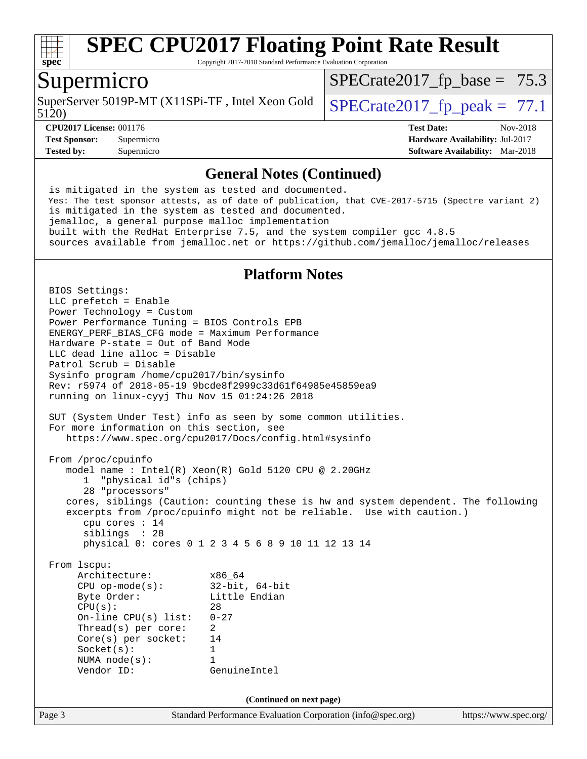

Copyright 2017-2018 Standard Performance Evaluation Corporation

#### Supermicro

5120) SuperServer 5019P-MT (X11SPi-TF, Intel Xeon Gold  $\big|$  SPECrate 2017 fp peak = 77.1

 $SPECTate2017_fp\_base = 75.3$ 

**[CPU2017 License:](http://www.spec.org/auto/cpu2017/Docs/result-fields.html#CPU2017License)** 001176 **[Test Date:](http://www.spec.org/auto/cpu2017/Docs/result-fields.html#TestDate)** Nov-2018 **[Test Sponsor:](http://www.spec.org/auto/cpu2017/Docs/result-fields.html#TestSponsor)** Supermicro **[Hardware Availability:](http://www.spec.org/auto/cpu2017/Docs/result-fields.html#HardwareAvailability)** Jul-2017 **[Tested by:](http://www.spec.org/auto/cpu2017/Docs/result-fields.html#Testedby)** Supermicro **[Software Availability:](http://www.spec.org/auto/cpu2017/Docs/result-fields.html#SoftwareAvailability)** Mar-2018

#### **[General Notes \(Continued\)](http://www.spec.org/auto/cpu2017/Docs/result-fields.html#GeneralNotes)**

 is mitigated in the system as tested and documented. Yes: The test sponsor attests, as of date of publication, that CVE-2017-5715 (Spectre variant 2) is mitigated in the system as tested and documented. jemalloc, a general purpose malloc implementation built with the RedHat Enterprise 7.5, and the system compiler gcc 4.8.5 sources available from jemalloc.net or <https://github.com/jemalloc/jemalloc/releases>

#### **[Platform Notes](http://www.spec.org/auto/cpu2017/Docs/result-fields.html#PlatformNotes)**

Page 3 Standard Performance Evaluation Corporation [\(info@spec.org\)](mailto:info@spec.org) <https://www.spec.org/> BIOS Settings: LLC prefetch = Enable Power Technology = Custom Power Performance Tuning = BIOS Controls EPB ENERGY\_PERF\_BIAS\_CFG mode = Maximum Performance Hardware P-state = Out of Band Mode LLC dead line alloc = Disable Patrol Scrub = Disable Sysinfo program /home/cpu2017/bin/sysinfo Rev: r5974 of 2018-05-19 9bcde8f2999c33d61f64985e45859ea9 running on linux-cyyj Thu Nov 15 01:24:26 2018 SUT (System Under Test) info as seen by some common utilities. For more information on this section, see <https://www.spec.org/cpu2017/Docs/config.html#sysinfo> From /proc/cpuinfo model name : Intel(R) Xeon(R) Gold 5120 CPU @ 2.20GHz 1 "physical id"s (chips) 28 "processors" cores, siblings (Caution: counting these is hw and system dependent. The following excerpts from /proc/cpuinfo might not be reliable. Use with caution.) cpu cores : 14 siblings : 28 physical 0: cores 0 1 2 3 4 5 6 8 9 10 11 12 13 14 From lscpu: Architecture: x86\_64 CPU op-mode(s): 32-bit, 64-bit Byte Order: Little Endian  $CPU(s):$  28 On-line CPU(s) list: 0-27 Thread(s) per core: 2 Core(s) per socket: 14 Socket(s): 1 NUMA node(s): 1 Vendor ID: GenuineIntel **(Continued on next page)**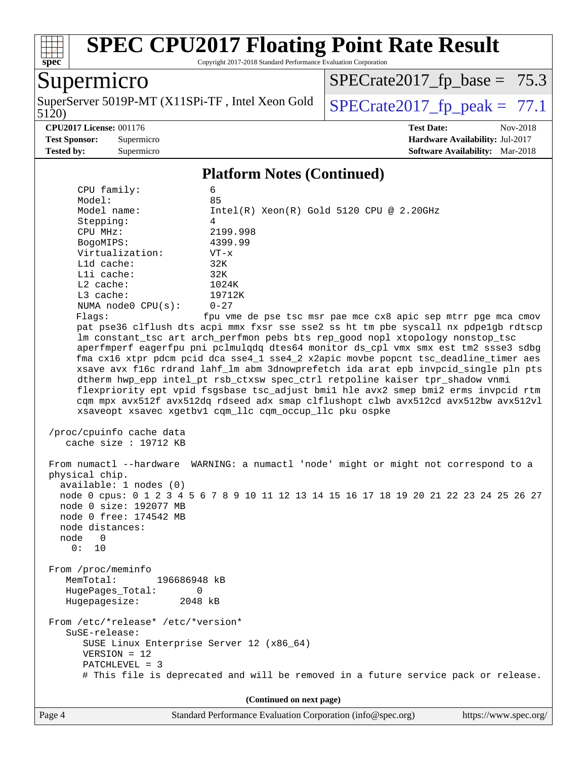

Copyright 2017-2018 Standard Performance Evaluation Corporation

## Supermicro

5120) SuperServer 5019P-MT (X11SPi-TF, Intel Xeon Gold  $\big|$  SPECrate 2017 fp peak = 77.1

 $SPECrate2017_fp\_base = 75.3$ 

**[Tested by:](http://www.spec.org/auto/cpu2017/Docs/result-fields.html#Testedby)** Supermicro **[Software Availability:](http://www.spec.org/auto/cpu2017/Docs/result-fields.html#SoftwareAvailability)** Mar-2018

**[CPU2017 License:](http://www.spec.org/auto/cpu2017/Docs/result-fields.html#CPU2017License)** 001176 **[Test Date:](http://www.spec.org/auto/cpu2017/Docs/result-fields.html#TestDate)** Nov-2018 **[Test Sponsor:](http://www.spec.org/auto/cpu2017/Docs/result-fields.html#TestSponsor)** Supermicro **[Hardware Availability:](http://www.spec.org/auto/cpu2017/Docs/result-fields.html#HardwareAvailability)** Jul-2017

#### **[Platform Notes \(Continued\)](http://www.spec.org/auto/cpu2017/Docs/result-fields.html#PlatformNotes)**

| 1 iailymin 1 voics (Communicu)                      |                                                                                        |  |  |  |  |  |
|-----------------------------------------------------|----------------------------------------------------------------------------------------|--|--|--|--|--|
| CPU family:                                         | 6                                                                                      |  |  |  |  |  |
| Model:                                              | 85                                                                                     |  |  |  |  |  |
| Model name:                                         | $Intel(R)$ Xeon $(R)$ Gold 5120 CPU @ 2.20GHz                                          |  |  |  |  |  |
| Stepping:                                           | 4                                                                                      |  |  |  |  |  |
| CPU MHz:                                            | 2199.998                                                                               |  |  |  |  |  |
| BogoMIPS:<br>Virtualization:                        | 4399.99                                                                                |  |  |  |  |  |
| L1d cache:                                          | $VT - x$<br>32K                                                                        |  |  |  |  |  |
| Lli cache:                                          | 32K                                                                                    |  |  |  |  |  |
| $L2$ cache:                                         | 1024K                                                                                  |  |  |  |  |  |
| L3 cache:                                           | 19712K                                                                                 |  |  |  |  |  |
| NUMA node0 CPU(s):                                  | $0 - 27$                                                                               |  |  |  |  |  |
| Flagg:                                              | fpu vme de pse tsc msr pae mce cx8 apic sep mtrr pge mca cmov                          |  |  |  |  |  |
|                                                     | pat pse36 clflush dts acpi mmx fxsr sse sse2 ss ht tm pbe syscall nx pdpelgb rdtscp    |  |  |  |  |  |
|                                                     | lm constant_tsc art arch_perfmon pebs bts rep_good nopl xtopology nonstop_tsc          |  |  |  |  |  |
|                                                     | aperfmperf eagerfpu pni pclmulqdq dtes64 monitor ds_cpl vmx smx est tm2 ssse3 sdbg     |  |  |  |  |  |
|                                                     | fma cx16 xtpr pdcm pcid dca sse4_1 sse4_2 x2apic movbe popcnt tsc_deadline_timer aes   |  |  |  |  |  |
|                                                     | xsave avx f16c rdrand lahf_lm abm 3dnowprefetch ida arat epb invpcid_single pln pts    |  |  |  |  |  |
|                                                     | dtherm hwp_epp intel_pt rsb_ctxsw spec_ctrl retpoline kaiser tpr_shadow vnmi           |  |  |  |  |  |
|                                                     | flexpriority ept vpid fsgsbase tsc_adjust bmil hle avx2 smep bmi2 erms invpcid rtm     |  |  |  |  |  |
|                                                     | cqm mpx avx512f avx512dq rdseed adx smap clflushopt clwb avx512cd avx512bw avx512vl    |  |  |  |  |  |
|                                                     | xsaveopt xsavec xgetbvl cqm_llc cqm_occup_llc pku ospke                                |  |  |  |  |  |
|                                                     |                                                                                        |  |  |  |  |  |
| /proc/cpuinfo cache data<br>cache size $: 19712$ KB |                                                                                        |  |  |  |  |  |
|                                                     |                                                                                        |  |  |  |  |  |
|                                                     | From numactl --hardware WARNING: a numactl 'node' might or might not correspond to a   |  |  |  |  |  |
| physical chip.                                      |                                                                                        |  |  |  |  |  |
| available: 1 nodes (0)                              |                                                                                        |  |  |  |  |  |
|                                                     | node 0 cpus: 0 1 2 3 4 5 6 7 8 9 10 11 12 13 14 15 16 17 18 19 20 21 22 23 24 25 26 27 |  |  |  |  |  |
| node 0 size: 192077 MB                              |                                                                                        |  |  |  |  |  |
| node 0 free: 174542 MB                              |                                                                                        |  |  |  |  |  |
| node distances:                                     |                                                                                        |  |  |  |  |  |
| node 0                                              |                                                                                        |  |  |  |  |  |
| 0: 10                                               |                                                                                        |  |  |  |  |  |
|                                                     |                                                                                        |  |  |  |  |  |
| From /proc/meminfo                                  |                                                                                        |  |  |  |  |  |
| MemTotal:<br>196686948 kB                           |                                                                                        |  |  |  |  |  |
| HugePages_Total:<br>0                               |                                                                                        |  |  |  |  |  |
| Hugepagesize:<br>2048 kB                            |                                                                                        |  |  |  |  |  |
| From /etc/*release* /etc/*version*                  |                                                                                        |  |  |  |  |  |
| $S$ uSE-release:                                    |                                                                                        |  |  |  |  |  |
| SUSE Linux Enterprise Server 12 (x86_64)            |                                                                                        |  |  |  |  |  |
| $VERSION = 12$                                      |                                                                                        |  |  |  |  |  |
| PATCHLEVEL = 3                                      |                                                                                        |  |  |  |  |  |
|                                                     | # This file is deprecated and will be removed in a future service pack or release.     |  |  |  |  |  |
|                                                     |                                                                                        |  |  |  |  |  |
| (Continued on next page)                            |                                                                                        |  |  |  |  |  |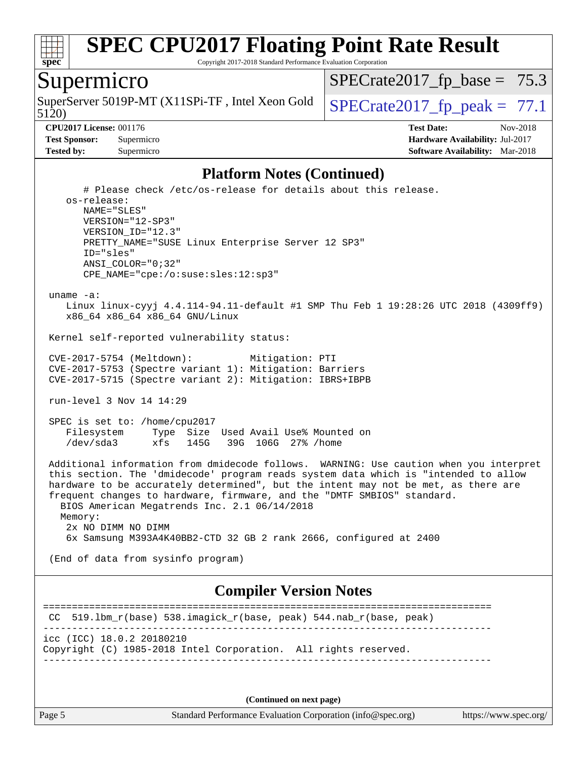

Copyright 2017-2018 Standard Performance Evaluation Corporation

#### Supermicro

5120) SuperServer 5019P-MT (X11SPi-TF, Intel Xeon Gold  $\big|$  SPECrate 2017 fp peak = 77.1

 $SPECTate2017_fp\_base = 75.3$ 

**[CPU2017 License:](http://www.spec.org/auto/cpu2017/Docs/result-fields.html#CPU2017License)** 001176 **[Test Date:](http://www.spec.org/auto/cpu2017/Docs/result-fields.html#TestDate)** Nov-2018 **[Test Sponsor:](http://www.spec.org/auto/cpu2017/Docs/result-fields.html#TestSponsor)** Supermicro **[Hardware Availability:](http://www.spec.org/auto/cpu2017/Docs/result-fields.html#HardwareAvailability)** Jul-2017 **[Tested by:](http://www.spec.org/auto/cpu2017/Docs/result-fields.html#Testedby)** Supermicro **[Software Availability:](http://www.spec.org/auto/cpu2017/Docs/result-fields.html#SoftwareAvailability)** Mar-2018

#### **[Platform Notes \(Continued\)](http://www.spec.org/auto/cpu2017/Docs/result-fields.html#PlatformNotes)**

```
 # Please check /etc/os-release for details about this release.
    os-release:
       NAME="SLES"
       VERSION="12-SP3"
       VERSION_ID="12.3"
       PRETTY_NAME="SUSE Linux Enterprise Server 12 SP3"
       ID="sles"
       ANSI_COLOR="0;32"
       CPE_NAME="cpe:/o:suse:sles:12:sp3"
  uname -a:
    Linux linux-cyyj 4.4.114-94.11-default #1 SMP Thu Feb 1 19:28:26 UTC 2018 (4309ff9)
    x86_64 x86_64 x86_64 GNU/Linux
 Kernel self-reported vulnerability status:
 CVE-2017-5754 (Meltdown): Mitigation: PTI
 CVE-2017-5753 (Spectre variant 1): Mitigation: Barriers
 CVE-2017-5715 (Spectre variant 2): Mitigation: IBRS+IBPB
 run-level 3 Nov 14 14:29
  SPEC is set to: /home/cpu2017
    Filesystem Type Size Used Avail Use% Mounted on
    /dev/sda3 xfs 145G 39G 106G 27% /home
 Additional information from dmidecode follows. WARNING: Use caution when you interpret
 this section. The 'dmidecode' program reads system data which is "intended to allow
 hardware to be accurately determined", but the intent may not be met, as there are
 frequent changes to hardware, firmware, and the "DMTF SMBIOS" standard.
   BIOS American Megatrends Inc. 2.1 06/14/2018
   Memory:
    2x NO DIMM NO DIMM
    6x Samsung M393A4K40BB2-CTD 32 GB 2 rank 2666, configured at 2400
  (End of data from sysinfo program)
                              Compiler Version Notes
==============================================================================
 CC 519.lbm_r(base) 538.imagick_r(base, peak) 544.nab_r(base, peak) 
------------------------------------------------------------------------------
icc (ICC) 18.0.2 20180210
Copyright (C) 1985-2018 Intel Corporation. All rights reserved.
------------------------------------------------------------------------------
```
**(Continued on next page)**

Page 5 Standard Performance Evaluation Corporation [\(info@spec.org\)](mailto:info@spec.org) <https://www.spec.org/>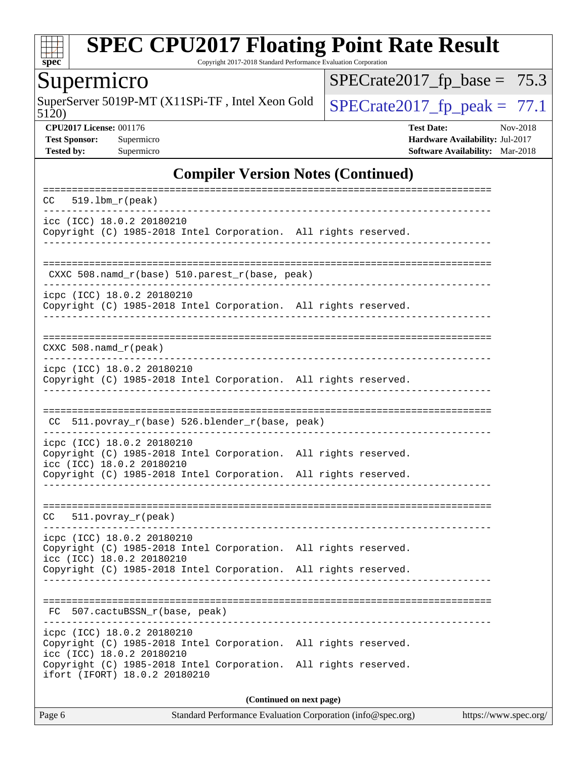

Copyright 2017-2018 Standard Performance Evaluation Corporation

## Supermicro

5120) SuperServer 5019P-MT (X11SPi-TF, Intel Xeon Gold  $\big|$  [SPECrate2017\\_fp\\_peak =](http://www.spec.org/auto/cpu2017/Docs/result-fields.html#SPECrate2017fppeak) 77.1

 $SPECrate2017_fp\_base = 75.3$ 

**[CPU2017 License:](http://www.spec.org/auto/cpu2017/Docs/result-fields.html#CPU2017License)** 001176 **[Test Date:](http://www.spec.org/auto/cpu2017/Docs/result-fields.html#TestDate)** Nov-2018 **[Test Sponsor:](http://www.spec.org/auto/cpu2017/Docs/result-fields.html#TestSponsor)** Supermicro **[Hardware Availability:](http://www.spec.org/auto/cpu2017/Docs/result-fields.html#HardwareAvailability)** Jul-2017 **[Tested by:](http://www.spec.org/auto/cpu2017/Docs/result-fields.html#Testedby)** Supermicro **[Software Availability:](http://www.spec.org/auto/cpu2017/Docs/result-fields.html#SoftwareAvailability)** Mar-2018

#### **[Compiler Version Notes \(Continued\)](http://www.spec.org/auto/cpu2017/Docs/result-fields.html#CompilerVersionNotes)**

| $519.1bm_r(peak)$<br>CC.                                                                                                   |  |  |  |  |  |  |
|----------------------------------------------------------------------------------------------------------------------------|--|--|--|--|--|--|
| icc (ICC) 18.0.2 20180210<br>Copyright (C) 1985-2018 Intel Corporation. All rights reserved.                               |  |  |  |  |  |  |
| CXXC 508.namd_r(base) 510.parest_r(base, peak)                                                                             |  |  |  |  |  |  |
| icpc (ICC) 18.0.2 20180210<br>Copyright (C) 1985-2018 Intel Corporation. All rights reserved.                              |  |  |  |  |  |  |
| $CXXC 508.namd_r (peak)$                                                                                                   |  |  |  |  |  |  |
| icpc (ICC) 18.0.2 20180210<br>Copyright (C) 1985-2018 Intel Corporation. All rights reserved.                              |  |  |  |  |  |  |
| 511.povray_r(base) 526.blender_r(base, peak)<br>CC.                                                                        |  |  |  |  |  |  |
| icpc (ICC) 18.0.2 20180210<br>Copyright (C) 1985-2018 Intel Corporation. All rights reserved.<br>icc (ICC) 18.0.2 20180210 |  |  |  |  |  |  |
| Copyright (C) 1985-2018 Intel Corporation. All rights reserved.                                                            |  |  |  |  |  |  |
| $511. povray_r (peak)$<br>CC                                                                                               |  |  |  |  |  |  |
| icpc (ICC) 18.0.2 20180210<br>Copyright (C) 1985-2018 Intel Corporation. All rights reserved.<br>icc (ICC) 18.0.2 20180210 |  |  |  |  |  |  |
| Copyright (C) 1985-2018 Intel Corporation. All rights reserved.                                                            |  |  |  |  |  |  |
| FC 507.cactuBSSN_r(base, peak)                                                                                             |  |  |  |  |  |  |
| icpc (ICC) 18.0.2 20180210<br>Copyright (C) 1985-2018 Intel Corporation. All rights reserved.<br>icc (ICC) 18.0.2 20180210 |  |  |  |  |  |  |
| Copyright (C) 1985-2018 Intel Corporation. All rights reserved.<br>ifort (IFORT) 18.0.2 20180210                           |  |  |  |  |  |  |
| (Continued on next page)                                                                                                   |  |  |  |  |  |  |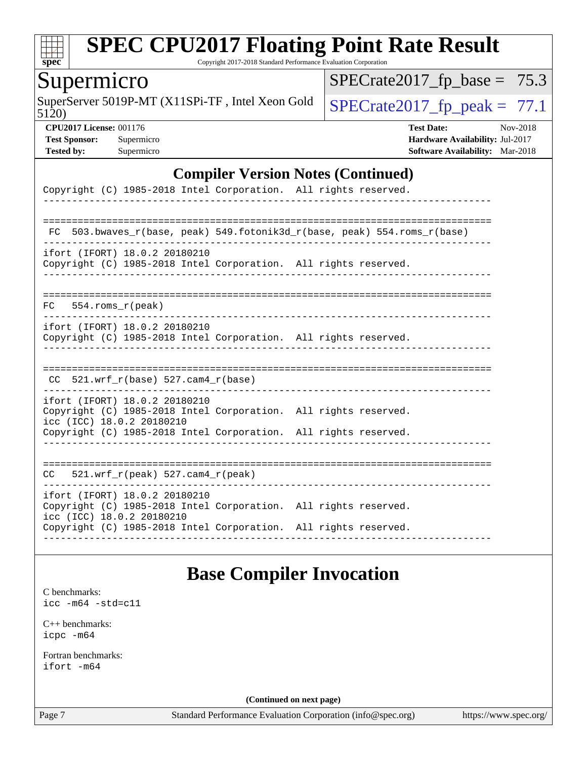

Copyright 2017-2018 Standard Performance Evaluation Corporation

## Supermicro

5120) SuperServer 5019P-MT (X11SPi-TF, Intel Xeon Gold  $\big|$  SPECrate 2017 fp peak = 77.1

 $SPECrate2017_fp\_base = 75.3$ 

**[CPU2017 License:](http://www.spec.org/auto/cpu2017/Docs/result-fields.html#CPU2017License)** 001176 **[Test Date:](http://www.spec.org/auto/cpu2017/Docs/result-fields.html#TestDate)** Nov-2018 **[Test Sponsor:](http://www.spec.org/auto/cpu2017/Docs/result-fields.html#TestSponsor)** Supermicro **[Hardware Availability:](http://www.spec.org/auto/cpu2017/Docs/result-fields.html#HardwareAvailability)** Jul-2017 **[Tested by:](http://www.spec.org/auto/cpu2017/Docs/result-fields.html#Testedby)** Supermicro **[Software Availability:](http://www.spec.org/auto/cpu2017/Docs/result-fields.html#SoftwareAvailability)** Mar-2018

#### **[Compiler Version Notes \(Continued\)](http://www.spec.org/auto/cpu2017/Docs/result-fields.html#CompilerVersionNotes)**

| Copyright (C) 1985-2018 Intel Corporation. All rights reserved.                                                               |
|-------------------------------------------------------------------------------------------------------------------------------|
|                                                                                                                               |
| 503.bwaves $r(base, peak)$ 549.fotonik3d $r(base, peak)$ 554.roms $r(base)$<br>FC                                             |
| ifort (IFORT) 18.0.2 20180210<br>Copyright (C) 1985-2018 Intel Corporation. All rights reserved.                              |
| 554.roms r(peak)<br>FC .                                                                                                      |
| ifort (IFORT) 18.0.2 20180210<br>Copyright (C) 1985-2018 Intel Corporation. All rights reserved.                              |
| $CC$ 521.wrf $r(base)$ 527.cam4 $r(base)$                                                                                     |
| ifort (IFORT) 18.0.2 20180210<br>Copyright (C) 1985-2018 Intel Corporation. All rights reserved.<br>icc (ICC) 18.0.2 20180210 |
| Copyright (C) 1985-2018 Intel Corporation. All rights reserved.                                                               |
| $CC = 521$ .wrf $r(\text{peak})$ 527.cam4 $r(\text{peak})$                                                                    |
| ifort (IFORT) 18.0.2 20180210<br>Copyright (C) 1985-2018 Intel Corporation. All rights reserved.<br>icc (ICC) 18.0.2 20180210 |
| Copyright (C) 1985-2018 Intel Corporation. All rights reserved.                                                               |

#### **[Base Compiler Invocation](http://www.spec.org/auto/cpu2017/Docs/result-fields.html#BaseCompilerInvocation)**

[C benchmarks](http://www.spec.org/auto/cpu2017/Docs/result-fields.html#Cbenchmarks):

[icc -m64 -std=c11](http://www.spec.org/cpu2017/results/res2018q4/cpu2017-20181127-09949.flags.html#user_CCbase_intel_icc_64bit_c11_33ee0cdaae7deeeab2a9725423ba97205ce30f63b9926c2519791662299b76a0318f32ddfffdc46587804de3178b4f9328c46fa7c2b0cd779d7a61945c91cd35)

[C++ benchmarks:](http://www.spec.org/auto/cpu2017/Docs/result-fields.html#CXXbenchmarks) [icpc -m64](http://www.spec.org/cpu2017/results/res2018q4/cpu2017-20181127-09949.flags.html#user_CXXbase_intel_icpc_64bit_4ecb2543ae3f1412ef961e0650ca070fec7b7afdcd6ed48761b84423119d1bf6bdf5cad15b44d48e7256388bc77273b966e5eb805aefd121eb22e9299b2ec9d9)

[Fortran benchmarks](http://www.spec.org/auto/cpu2017/Docs/result-fields.html#Fortranbenchmarks): [ifort -m64](http://www.spec.org/cpu2017/results/res2018q4/cpu2017-20181127-09949.flags.html#user_FCbase_intel_ifort_64bit_24f2bb282fbaeffd6157abe4f878425411749daecae9a33200eee2bee2fe76f3b89351d69a8130dd5949958ce389cf37ff59a95e7a40d588e8d3a57e0c3fd751)

**(Continued on next page)**

Page 7 Standard Performance Evaluation Corporation [\(info@spec.org\)](mailto:info@spec.org) <https://www.spec.org/>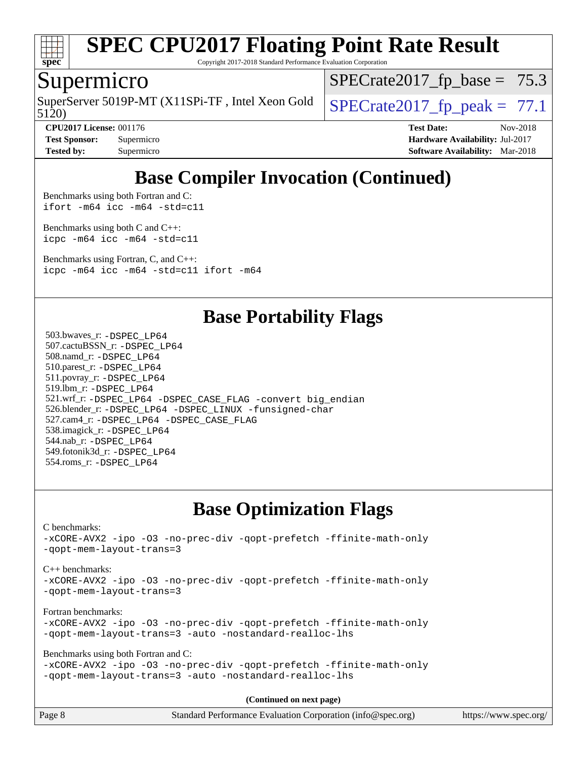

Copyright 2017-2018 Standard Performance Evaluation Corporation

#### Supermicro

5120) SuperServer 5019P-MT (X11SPi-TF, Intel Xeon Gold  $\big|$  SPECrate 2017 fp peak = 77.1

 $SPECTate2017_fp\_base = 75.3$ 

**[CPU2017 License:](http://www.spec.org/auto/cpu2017/Docs/result-fields.html#CPU2017License)** 001176 **[Test Date:](http://www.spec.org/auto/cpu2017/Docs/result-fields.html#TestDate)** Nov-2018

**[Test Sponsor:](http://www.spec.org/auto/cpu2017/Docs/result-fields.html#TestSponsor)** Supermicro **[Hardware Availability:](http://www.spec.org/auto/cpu2017/Docs/result-fields.html#HardwareAvailability)** Jul-2017 **[Tested by:](http://www.spec.org/auto/cpu2017/Docs/result-fields.html#Testedby)** Supermicro **[Software Availability:](http://www.spec.org/auto/cpu2017/Docs/result-fields.html#SoftwareAvailability)** Mar-2018

## **[Base Compiler Invocation \(Continued\)](http://www.spec.org/auto/cpu2017/Docs/result-fields.html#BaseCompilerInvocation)**

[Benchmarks using both Fortran and C](http://www.spec.org/auto/cpu2017/Docs/result-fields.html#BenchmarksusingbothFortranandC): [ifort -m64](http://www.spec.org/cpu2017/results/res2018q4/cpu2017-20181127-09949.flags.html#user_CC_FCbase_intel_ifort_64bit_24f2bb282fbaeffd6157abe4f878425411749daecae9a33200eee2bee2fe76f3b89351d69a8130dd5949958ce389cf37ff59a95e7a40d588e8d3a57e0c3fd751) [icc -m64 -std=c11](http://www.spec.org/cpu2017/results/res2018q4/cpu2017-20181127-09949.flags.html#user_CC_FCbase_intel_icc_64bit_c11_33ee0cdaae7deeeab2a9725423ba97205ce30f63b9926c2519791662299b76a0318f32ddfffdc46587804de3178b4f9328c46fa7c2b0cd779d7a61945c91cd35)

[Benchmarks using both C and C++](http://www.spec.org/auto/cpu2017/Docs/result-fields.html#BenchmarksusingbothCandCXX): [icpc -m64](http://www.spec.org/cpu2017/results/res2018q4/cpu2017-20181127-09949.flags.html#user_CC_CXXbase_intel_icpc_64bit_4ecb2543ae3f1412ef961e0650ca070fec7b7afdcd6ed48761b84423119d1bf6bdf5cad15b44d48e7256388bc77273b966e5eb805aefd121eb22e9299b2ec9d9) [icc -m64 -std=c11](http://www.spec.org/cpu2017/results/res2018q4/cpu2017-20181127-09949.flags.html#user_CC_CXXbase_intel_icc_64bit_c11_33ee0cdaae7deeeab2a9725423ba97205ce30f63b9926c2519791662299b76a0318f32ddfffdc46587804de3178b4f9328c46fa7c2b0cd779d7a61945c91cd35)

[Benchmarks using Fortran, C, and C++:](http://www.spec.org/auto/cpu2017/Docs/result-fields.html#BenchmarksusingFortranCandCXX) [icpc -m64](http://www.spec.org/cpu2017/results/res2018q4/cpu2017-20181127-09949.flags.html#user_CC_CXX_FCbase_intel_icpc_64bit_4ecb2543ae3f1412ef961e0650ca070fec7b7afdcd6ed48761b84423119d1bf6bdf5cad15b44d48e7256388bc77273b966e5eb805aefd121eb22e9299b2ec9d9) [icc -m64 -std=c11](http://www.spec.org/cpu2017/results/res2018q4/cpu2017-20181127-09949.flags.html#user_CC_CXX_FCbase_intel_icc_64bit_c11_33ee0cdaae7deeeab2a9725423ba97205ce30f63b9926c2519791662299b76a0318f32ddfffdc46587804de3178b4f9328c46fa7c2b0cd779d7a61945c91cd35) [ifort -m64](http://www.spec.org/cpu2017/results/res2018q4/cpu2017-20181127-09949.flags.html#user_CC_CXX_FCbase_intel_ifort_64bit_24f2bb282fbaeffd6157abe4f878425411749daecae9a33200eee2bee2fe76f3b89351d69a8130dd5949958ce389cf37ff59a95e7a40d588e8d3a57e0c3fd751)

### **[Base Portability Flags](http://www.spec.org/auto/cpu2017/Docs/result-fields.html#BasePortabilityFlags)**

 503.bwaves\_r: [-DSPEC\\_LP64](http://www.spec.org/cpu2017/results/res2018q4/cpu2017-20181127-09949.flags.html#suite_basePORTABILITY503_bwaves_r_DSPEC_LP64) 507.cactuBSSN\_r: [-DSPEC\\_LP64](http://www.spec.org/cpu2017/results/res2018q4/cpu2017-20181127-09949.flags.html#suite_basePORTABILITY507_cactuBSSN_r_DSPEC_LP64) 508.namd\_r: [-DSPEC\\_LP64](http://www.spec.org/cpu2017/results/res2018q4/cpu2017-20181127-09949.flags.html#suite_basePORTABILITY508_namd_r_DSPEC_LP64) 510.parest\_r: [-DSPEC\\_LP64](http://www.spec.org/cpu2017/results/res2018q4/cpu2017-20181127-09949.flags.html#suite_basePORTABILITY510_parest_r_DSPEC_LP64) 511.povray\_r: [-DSPEC\\_LP64](http://www.spec.org/cpu2017/results/res2018q4/cpu2017-20181127-09949.flags.html#suite_basePORTABILITY511_povray_r_DSPEC_LP64) 519.lbm\_r: [-DSPEC\\_LP64](http://www.spec.org/cpu2017/results/res2018q4/cpu2017-20181127-09949.flags.html#suite_basePORTABILITY519_lbm_r_DSPEC_LP64) 521.wrf\_r: [-DSPEC\\_LP64](http://www.spec.org/cpu2017/results/res2018q4/cpu2017-20181127-09949.flags.html#suite_basePORTABILITY521_wrf_r_DSPEC_LP64) [-DSPEC\\_CASE\\_FLAG](http://www.spec.org/cpu2017/results/res2018q4/cpu2017-20181127-09949.flags.html#b521.wrf_r_baseCPORTABILITY_DSPEC_CASE_FLAG) [-convert big\\_endian](http://www.spec.org/cpu2017/results/res2018q4/cpu2017-20181127-09949.flags.html#user_baseFPORTABILITY521_wrf_r_convert_big_endian_c3194028bc08c63ac5d04de18c48ce6d347e4e562e8892b8bdbdc0214820426deb8554edfa529a3fb25a586e65a3d812c835984020483e7e73212c4d31a38223) 526.blender\_r: [-DSPEC\\_LP64](http://www.spec.org/cpu2017/results/res2018q4/cpu2017-20181127-09949.flags.html#suite_basePORTABILITY526_blender_r_DSPEC_LP64) [-DSPEC\\_LINUX](http://www.spec.org/cpu2017/results/res2018q4/cpu2017-20181127-09949.flags.html#b526.blender_r_baseCPORTABILITY_DSPEC_LINUX) [-funsigned-char](http://www.spec.org/cpu2017/results/res2018q4/cpu2017-20181127-09949.flags.html#user_baseCPORTABILITY526_blender_r_force_uchar_40c60f00ab013830e2dd6774aeded3ff59883ba5a1fc5fc14077f794d777847726e2a5858cbc7672e36e1b067e7e5c1d9a74f7176df07886a243d7cc18edfe67) 527.cam4\_r: [-DSPEC\\_LP64](http://www.spec.org/cpu2017/results/res2018q4/cpu2017-20181127-09949.flags.html#suite_basePORTABILITY527_cam4_r_DSPEC_LP64) [-DSPEC\\_CASE\\_FLAG](http://www.spec.org/cpu2017/results/res2018q4/cpu2017-20181127-09949.flags.html#b527.cam4_r_baseCPORTABILITY_DSPEC_CASE_FLAG) 538.imagick\_r: [-DSPEC\\_LP64](http://www.spec.org/cpu2017/results/res2018q4/cpu2017-20181127-09949.flags.html#suite_basePORTABILITY538_imagick_r_DSPEC_LP64) 544.nab\_r: [-DSPEC\\_LP64](http://www.spec.org/cpu2017/results/res2018q4/cpu2017-20181127-09949.flags.html#suite_basePORTABILITY544_nab_r_DSPEC_LP64) 549.fotonik3d\_r: [-DSPEC\\_LP64](http://www.spec.org/cpu2017/results/res2018q4/cpu2017-20181127-09949.flags.html#suite_basePORTABILITY549_fotonik3d_r_DSPEC_LP64) 554.roms\_r: [-DSPEC\\_LP64](http://www.spec.org/cpu2017/results/res2018q4/cpu2017-20181127-09949.flags.html#suite_basePORTABILITY554_roms_r_DSPEC_LP64)

## **[Base Optimization Flags](http://www.spec.org/auto/cpu2017/Docs/result-fields.html#BaseOptimizationFlags)**

[C benchmarks](http://www.spec.org/auto/cpu2017/Docs/result-fields.html#Cbenchmarks): [-xCORE-AVX2](http://www.spec.org/cpu2017/results/res2018q4/cpu2017-20181127-09949.flags.html#user_CCbase_f-xCORE-AVX2) [-ipo](http://www.spec.org/cpu2017/results/res2018q4/cpu2017-20181127-09949.flags.html#user_CCbase_f-ipo) [-O3](http://www.spec.org/cpu2017/results/res2018q4/cpu2017-20181127-09949.flags.html#user_CCbase_f-O3) [-no-prec-div](http://www.spec.org/cpu2017/results/res2018q4/cpu2017-20181127-09949.flags.html#user_CCbase_f-no-prec-div) [-qopt-prefetch](http://www.spec.org/cpu2017/results/res2018q4/cpu2017-20181127-09949.flags.html#user_CCbase_f-qopt-prefetch) [-ffinite-math-only](http://www.spec.org/cpu2017/results/res2018q4/cpu2017-20181127-09949.flags.html#user_CCbase_f_finite_math_only_cb91587bd2077682c4b38af759c288ed7c732db004271a9512da14a4f8007909a5f1427ecbf1a0fb78ff2a814402c6114ac565ca162485bbcae155b5e4258871) [-qopt-mem-layout-trans=3](http://www.spec.org/cpu2017/results/res2018q4/cpu2017-20181127-09949.flags.html#user_CCbase_f-qopt-mem-layout-trans_de80db37974c74b1f0e20d883f0b675c88c3b01e9d123adea9b28688d64333345fb62bc4a798493513fdb68f60282f9a726aa07f478b2f7113531aecce732043) [C++ benchmarks:](http://www.spec.org/auto/cpu2017/Docs/result-fields.html#CXXbenchmarks) [-xCORE-AVX2](http://www.spec.org/cpu2017/results/res2018q4/cpu2017-20181127-09949.flags.html#user_CXXbase_f-xCORE-AVX2) [-ipo](http://www.spec.org/cpu2017/results/res2018q4/cpu2017-20181127-09949.flags.html#user_CXXbase_f-ipo) [-O3](http://www.spec.org/cpu2017/results/res2018q4/cpu2017-20181127-09949.flags.html#user_CXXbase_f-O3) [-no-prec-div](http://www.spec.org/cpu2017/results/res2018q4/cpu2017-20181127-09949.flags.html#user_CXXbase_f-no-prec-div) [-qopt-prefetch](http://www.spec.org/cpu2017/results/res2018q4/cpu2017-20181127-09949.flags.html#user_CXXbase_f-qopt-prefetch) [-ffinite-math-only](http://www.spec.org/cpu2017/results/res2018q4/cpu2017-20181127-09949.flags.html#user_CXXbase_f_finite_math_only_cb91587bd2077682c4b38af759c288ed7c732db004271a9512da14a4f8007909a5f1427ecbf1a0fb78ff2a814402c6114ac565ca162485bbcae155b5e4258871) [-qopt-mem-layout-trans=3](http://www.spec.org/cpu2017/results/res2018q4/cpu2017-20181127-09949.flags.html#user_CXXbase_f-qopt-mem-layout-trans_de80db37974c74b1f0e20d883f0b675c88c3b01e9d123adea9b28688d64333345fb62bc4a798493513fdb68f60282f9a726aa07f478b2f7113531aecce732043) [Fortran benchmarks](http://www.spec.org/auto/cpu2017/Docs/result-fields.html#Fortranbenchmarks): [-xCORE-AVX2](http://www.spec.org/cpu2017/results/res2018q4/cpu2017-20181127-09949.flags.html#user_FCbase_f-xCORE-AVX2) [-ipo](http://www.spec.org/cpu2017/results/res2018q4/cpu2017-20181127-09949.flags.html#user_FCbase_f-ipo) [-O3](http://www.spec.org/cpu2017/results/res2018q4/cpu2017-20181127-09949.flags.html#user_FCbase_f-O3) [-no-prec-div](http://www.spec.org/cpu2017/results/res2018q4/cpu2017-20181127-09949.flags.html#user_FCbase_f-no-prec-div) [-qopt-prefetch](http://www.spec.org/cpu2017/results/res2018q4/cpu2017-20181127-09949.flags.html#user_FCbase_f-qopt-prefetch) [-ffinite-math-only](http://www.spec.org/cpu2017/results/res2018q4/cpu2017-20181127-09949.flags.html#user_FCbase_f_finite_math_only_cb91587bd2077682c4b38af759c288ed7c732db004271a9512da14a4f8007909a5f1427ecbf1a0fb78ff2a814402c6114ac565ca162485bbcae155b5e4258871) [-qopt-mem-layout-trans=3](http://www.spec.org/cpu2017/results/res2018q4/cpu2017-20181127-09949.flags.html#user_FCbase_f-qopt-mem-layout-trans_de80db37974c74b1f0e20d883f0b675c88c3b01e9d123adea9b28688d64333345fb62bc4a798493513fdb68f60282f9a726aa07f478b2f7113531aecce732043) [-auto](http://www.spec.org/cpu2017/results/res2018q4/cpu2017-20181127-09949.flags.html#user_FCbase_f-auto) [-nostandard-realloc-lhs](http://www.spec.org/cpu2017/results/res2018q4/cpu2017-20181127-09949.flags.html#user_FCbase_f_2003_std_realloc_82b4557e90729c0f113870c07e44d33d6f5a304b4f63d4c15d2d0f1fab99f5daaed73bdb9275d9ae411527f28b936061aa8b9c8f2d63842963b95c9dd6426b8a) [Benchmarks using both Fortran and C](http://www.spec.org/auto/cpu2017/Docs/result-fields.html#BenchmarksusingbothFortranandC): [-xCORE-AVX2](http://www.spec.org/cpu2017/results/res2018q4/cpu2017-20181127-09949.flags.html#user_CC_FCbase_f-xCORE-AVX2) [-ipo](http://www.spec.org/cpu2017/results/res2018q4/cpu2017-20181127-09949.flags.html#user_CC_FCbase_f-ipo) [-O3](http://www.spec.org/cpu2017/results/res2018q4/cpu2017-20181127-09949.flags.html#user_CC_FCbase_f-O3) [-no-prec-div](http://www.spec.org/cpu2017/results/res2018q4/cpu2017-20181127-09949.flags.html#user_CC_FCbase_f-no-prec-div) [-qopt-prefetch](http://www.spec.org/cpu2017/results/res2018q4/cpu2017-20181127-09949.flags.html#user_CC_FCbase_f-qopt-prefetch) [-ffinite-math-only](http://www.spec.org/cpu2017/results/res2018q4/cpu2017-20181127-09949.flags.html#user_CC_FCbase_f_finite_math_only_cb91587bd2077682c4b38af759c288ed7c732db004271a9512da14a4f8007909a5f1427ecbf1a0fb78ff2a814402c6114ac565ca162485bbcae155b5e4258871) [-qopt-mem-layout-trans=3](http://www.spec.org/cpu2017/results/res2018q4/cpu2017-20181127-09949.flags.html#user_CC_FCbase_f-qopt-mem-layout-trans_de80db37974c74b1f0e20d883f0b675c88c3b01e9d123adea9b28688d64333345fb62bc4a798493513fdb68f60282f9a726aa07f478b2f7113531aecce732043) [-auto](http://www.spec.org/cpu2017/results/res2018q4/cpu2017-20181127-09949.flags.html#user_CC_FCbase_f-auto) [-nostandard-realloc-lhs](http://www.spec.org/cpu2017/results/res2018q4/cpu2017-20181127-09949.flags.html#user_CC_FCbase_f_2003_std_realloc_82b4557e90729c0f113870c07e44d33d6f5a304b4f63d4c15d2d0f1fab99f5daaed73bdb9275d9ae411527f28b936061aa8b9c8f2d63842963b95c9dd6426b8a)

**(Continued on next page)**

| Page 8 | Standard Performance Evaluation Corporation (info@spec.org) | https://www.spec.org/ |
|--------|-------------------------------------------------------------|-----------------------|
|--------|-------------------------------------------------------------|-----------------------|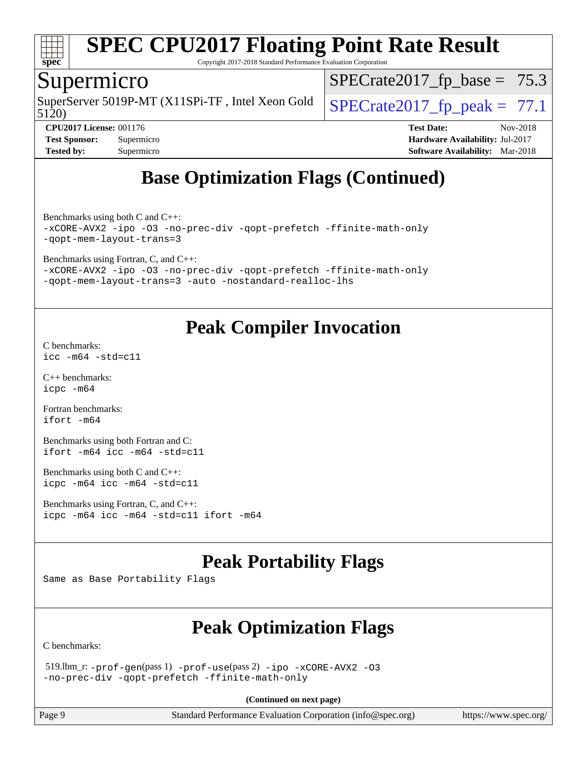

Copyright 2017-2018 Standard Performance Evaluation Corporation

#### Supermicro

5120) SuperServer 5019P-MT (X11SPi-TF, Intel Xeon Gold  $\big|$  SPECrate 2017 fp peak = 77.1

 $SPECrate2017_fp\_base = 75.3$ 

**[CPU2017 License:](http://www.spec.org/auto/cpu2017/Docs/result-fields.html#CPU2017License)** 001176 **[Test Date:](http://www.spec.org/auto/cpu2017/Docs/result-fields.html#TestDate)** Nov-2018 **[Test Sponsor:](http://www.spec.org/auto/cpu2017/Docs/result-fields.html#TestSponsor)** Supermicro **[Hardware Availability:](http://www.spec.org/auto/cpu2017/Docs/result-fields.html#HardwareAvailability)** Jul-2017 **[Tested by:](http://www.spec.org/auto/cpu2017/Docs/result-fields.html#Testedby)** Supermicro **[Software Availability:](http://www.spec.org/auto/cpu2017/Docs/result-fields.html#SoftwareAvailability)** Mar-2018

## **[Base Optimization Flags \(Continued\)](http://www.spec.org/auto/cpu2017/Docs/result-fields.html#BaseOptimizationFlags)**

[Benchmarks using both C and C++](http://www.spec.org/auto/cpu2017/Docs/result-fields.html#BenchmarksusingbothCandCXX): [-xCORE-AVX2](http://www.spec.org/cpu2017/results/res2018q4/cpu2017-20181127-09949.flags.html#user_CC_CXXbase_f-xCORE-AVX2) [-ipo](http://www.spec.org/cpu2017/results/res2018q4/cpu2017-20181127-09949.flags.html#user_CC_CXXbase_f-ipo) [-O3](http://www.spec.org/cpu2017/results/res2018q4/cpu2017-20181127-09949.flags.html#user_CC_CXXbase_f-O3) [-no-prec-div](http://www.spec.org/cpu2017/results/res2018q4/cpu2017-20181127-09949.flags.html#user_CC_CXXbase_f-no-prec-div) [-qopt-prefetch](http://www.spec.org/cpu2017/results/res2018q4/cpu2017-20181127-09949.flags.html#user_CC_CXXbase_f-qopt-prefetch) [-ffinite-math-only](http://www.spec.org/cpu2017/results/res2018q4/cpu2017-20181127-09949.flags.html#user_CC_CXXbase_f_finite_math_only_cb91587bd2077682c4b38af759c288ed7c732db004271a9512da14a4f8007909a5f1427ecbf1a0fb78ff2a814402c6114ac565ca162485bbcae155b5e4258871) [-qopt-mem-layout-trans=3](http://www.spec.org/cpu2017/results/res2018q4/cpu2017-20181127-09949.flags.html#user_CC_CXXbase_f-qopt-mem-layout-trans_de80db37974c74b1f0e20d883f0b675c88c3b01e9d123adea9b28688d64333345fb62bc4a798493513fdb68f60282f9a726aa07f478b2f7113531aecce732043)

[Benchmarks using Fortran, C, and C++:](http://www.spec.org/auto/cpu2017/Docs/result-fields.html#BenchmarksusingFortranCandCXX)

[-xCORE-AVX2](http://www.spec.org/cpu2017/results/res2018q4/cpu2017-20181127-09949.flags.html#user_CC_CXX_FCbase_f-xCORE-AVX2) [-ipo](http://www.spec.org/cpu2017/results/res2018q4/cpu2017-20181127-09949.flags.html#user_CC_CXX_FCbase_f-ipo) [-O3](http://www.spec.org/cpu2017/results/res2018q4/cpu2017-20181127-09949.flags.html#user_CC_CXX_FCbase_f-O3) [-no-prec-div](http://www.spec.org/cpu2017/results/res2018q4/cpu2017-20181127-09949.flags.html#user_CC_CXX_FCbase_f-no-prec-div) [-qopt-prefetch](http://www.spec.org/cpu2017/results/res2018q4/cpu2017-20181127-09949.flags.html#user_CC_CXX_FCbase_f-qopt-prefetch) [-ffinite-math-only](http://www.spec.org/cpu2017/results/res2018q4/cpu2017-20181127-09949.flags.html#user_CC_CXX_FCbase_f_finite_math_only_cb91587bd2077682c4b38af759c288ed7c732db004271a9512da14a4f8007909a5f1427ecbf1a0fb78ff2a814402c6114ac565ca162485bbcae155b5e4258871) [-qopt-mem-layout-trans=3](http://www.spec.org/cpu2017/results/res2018q4/cpu2017-20181127-09949.flags.html#user_CC_CXX_FCbase_f-qopt-mem-layout-trans_de80db37974c74b1f0e20d883f0b675c88c3b01e9d123adea9b28688d64333345fb62bc4a798493513fdb68f60282f9a726aa07f478b2f7113531aecce732043) [-auto](http://www.spec.org/cpu2017/results/res2018q4/cpu2017-20181127-09949.flags.html#user_CC_CXX_FCbase_f-auto) [-nostandard-realloc-lhs](http://www.spec.org/cpu2017/results/res2018q4/cpu2017-20181127-09949.flags.html#user_CC_CXX_FCbase_f_2003_std_realloc_82b4557e90729c0f113870c07e44d33d6f5a304b4f63d4c15d2d0f1fab99f5daaed73bdb9275d9ae411527f28b936061aa8b9c8f2d63842963b95c9dd6426b8a)

## **[Peak Compiler Invocation](http://www.spec.org/auto/cpu2017/Docs/result-fields.html#PeakCompilerInvocation)**

[C benchmarks](http://www.spec.org/auto/cpu2017/Docs/result-fields.html#Cbenchmarks): [icc -m64 -std=c11](http://www.spec.org/cpu2017/results/res2018q4/cpu2017-20181127-09949.flags.html#user_CCpeak_intel_icc_64bit_c11_33ee0cdaae7deeeab2a9725423ba97205ce30f63b9926c2519791662299b76a0318f32ddfffdc46587804de3178b4f9328c46fa7c2b0cd779d7a61945c91cd35)

[C++ benchmarks:](http://www.spec.org/auto/cpu2017/Docs/result-fields.html#CXXbenchmarks) [icpc -m64](http://www.spec.org/cpu2017/results/res2018q4/cpu2017-20181127-09949.flags.html#user_CXXpeak_intel_icpc_64bit_4ecb2543ae3f1412ef961e0650ca070fec7b7afdcd6ed48761b84423119d1bf6bdf5cad15b44d48e7256388bc77273b966e5eb805aefd121eb22e9299b2ec9d9)

[Fortran benchmarks](http://www.spec.org/auto/cpu2017/Docs/result-fields.html#Fortranbenchmarks): [ifort -m64](http://www.spec.org/cpu2017/results/res2018q4/cpu2017-20181127-09949.flags.html#user_FCpeak_intel_ifort_64bit_24f2bb282fbaeffd6157abe4f878425411749daecae9a33200eee2bee2fe76f3b89351d69a8130dd5949958ce389cf37ff59a95e7a40d588e8d3a57e0c3fd751)

[Benchmarks using both Fortran and C](http://www.spec.org/auto/cpu2017/Docs/result-fields.html#BenchmarksusingbothFortranandC): [ifort -m64](http://www.spec.org/cpu2017/results/res2018q4/cpu2017-20181127-09949.flags.html#user_CC_FCpeak_intel_ifort_64bit_24f2bb282fbaeffd6157abe4f878425411749daecae9a33200eee2bee2fe76f3b89351d69a8130dd5949958ce389cf37ff59a95e7a40d588e8d3a57e0c3fd751) [icc -m64 -std=c11](http://www.spec.org/cpu2017/results/res2018q4/cpu2017-20181127-09949.flags.html#user_CC_FCpeak_intel_icc_64bit_c11_33ee0cdaae7deeeab2a9725423ba97205ce30f63b9926c2519791662299b76a0318f32ddfffdc46587804de3178b4f9328c46fa7c2b0cd779d7a61945c91cd35)

[Benchmarks using both C and C++](http://www.spec.org/auto/cpu2017/Docs/result-fields.html#BenchmarksusingbothCandCXX): [icpc -m64](http://www.spec.org/cpu2017/results/res2018q4/cpu2017-20181127-09949.flags.html#user_CC_CXXpeak_intel_icpc_64bit_4ecb2543ae3f1412ef961e0650ca070fec7b7afdcd6ed48761b84423119d1bf6bdf5cad15b44d48e7256388bc77273b966e5eb805aefd121eb22e9299b2ec9d9) [icc -m64 -std=c11](http://www.spec.org/cpu2017/results/res2018q4/cpu2017-20181127-09949.flags.html#user_CC_CXXpeak_intel_icc_64bit_c11_33ee0cdaae7deeeab2a9725423ba97205ce30f63b9926c2519791662299b76a0318f32ddfffdc46587804de3178b4f9328c46fa7c2b0cd779d7a61945c91cd35)

[Benchmarks using Fortran, C, and C++:](http://www.spec.org/auto/cpu2017/Docs/result-fields.html#BenchmarksusingFortranCandCXX) [icpc -m64](http://www.spec.org/cpu2017/results/res2018q4/cpu2017-20181127-09949.flags.html#user_CC_CXX_FCpeak_intel_icpc_64bit_4ecb2543ae3f1412ef961e0650ca070fec7b7afdcd6ed48761b84423119d1bf6bdf5cad15b44d48e7256388bc77273b966e5eb805aefd121eb22e9299b2ec9d9) [icc -m64 -std=c11](http://www.spec.org/cpu2017/results/res2018q4/cpu2017-20181127-09949.flags.html#user_CC_CXX_FCpeak_intel_icc_64bit_c11_33ee0cdaae7deeeab2a9725423ba97205ce30f63b9926c2519791662299b76a0318f32ddfffdc46587804de3178b4f9328c46fa7c2b0cd779d7a61945c91cd35) [ifort -m64](http://www.spec.org/cpu2017/results/res2018q4/cpu2017-20181127-09949.flags.html#user_CC_CXX_FCpeak_intel_ifort_64bit_24f2bb282fbaeffd6157abe4f878425411749daecae9a33200eee2bee2fe76f3b89351d69a8130dd5949958ce389cf37ff59a95e7a40d588e8d3a57e0c3fd751)

## **[Peak Portability Flags](http://www.spec.org/auto/cpu2017/Docs/result-fields.html#PeakPortabilityFlags)**

Same as Base Portability Flags

## **[Peak Optimization Flags](http://www.spec.org/auto/cpu2017/Docs/result-fields.html#PeakOptimizationFlags)**

[C benchmarks](http://www.spec.org/auto/cpu2017/Docs/result-fields.html#Cbenchmarks):

 519.lbm\_r: [-prof-gen](http://www.spec.org/cpu2017/results/res2018q4/cpu2017-20181127-09949.flags.html#user_peakPASS1_CFLAGSPASS1_LDFLAGS519_lbm_r_prof_gen_5aa4926d6013ddb2a31985c654b3eb18169fc0c6952a63635c234f711e6e63dd76e94ad52365559451ec499a2cdb89e4dc58ba4c67ef54ca681ffbe1461d6b36)(pass 1) [-prof-use](http://www.spec.org/cpu2017/results/res2018q4/cpu2017-20181127-09949.flags.html#user_peakPASS2_CFLAGSPASS2_LDFLAGS519_lbm_r_prof_use_1a21ceae95f36a2b53c25747139a6c16ca95bd9def2a207b4f0849963b97e94f5260e30a0c64f4bb623698870e679ca08317ef8150905d41bd88c6f78df73f19)(pass 2) [-ipo](http://www.spec.org/cpu2017/results/res2018q4/cpu2017-20181127-09949.flags.html#user_peakPASS1_COPTIMIZEPASS2_COPTIMIZE519_lbm_r_f-ipo) [-xCORE-AVX2](http://www.spec.org/cpu2017/results/res2018q4/cpu2017-20181127-09949.flags.html#user_peakPASS2_COPTIMIZE519_lbm_r_f-xCORE-AVX2) [-O3](http://www.spec.org/cpu2017/results/res2018q4/cpu2017-20181127-09949.flags.html#user_peakPASS1_COPTIMIZEPASS2_COPTIMIZE519_lbm_r_f-O3) [-no-prec-div](http://www.spec.org/cpu2017/results/res2018q4/cpu2017-20181127-09949.flags.html#user_peakPASS1_COPTIMIZEPASS2_COPTIMIZE519_lbm_r_f-no-prec-div) [-qopt-prefetch](http://www.spec.org/cpu2017/results/res2018q4/cpu2017-20181127-09949.flags.html#user_peakPASS1_COPTIMIZEPASS2_COPTIMIZE519_lbm_r_f-qopt-prefetch) [-ffinite-math-only](http://www.spec.org/cpu2017/results/res2018q4/cpu2017-20181127-09949.flags.html#user_peakPASS1_COPTIMIZEPASS2_COPTIMIZE519_lbm_r_f_finite_math_only_cb91587bd2077682c4b38af759c288ed7c732db004271a9512da14a4f8007909a5f1427ecbf1a0fb78ff2a814402c6114ac565ca162485bbcae155b5e4258871)

**(Continued on next page)**

Page 9 Standard Performance Evaluation Corporation [\(info@spec.org\)](mailto:info@spec.org) <https://www.spec.org/>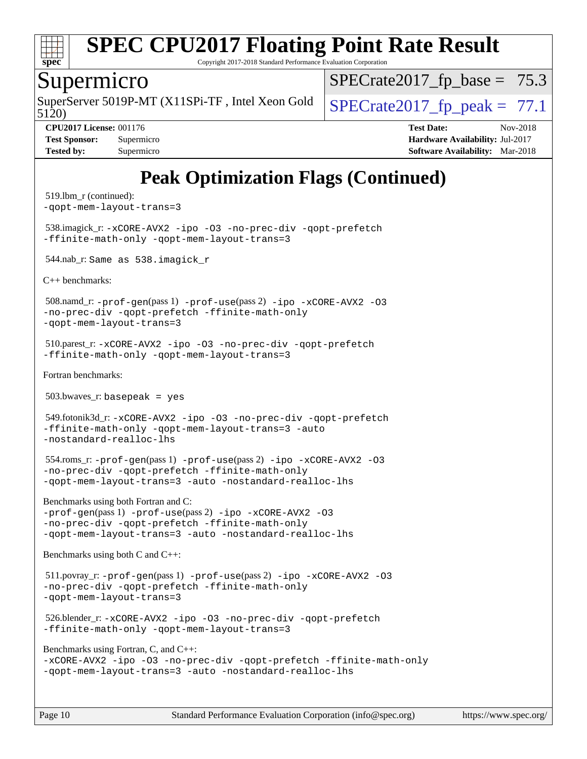

Copyright 2017-2018 Standard Performance Evaluation Corporation

#### Supermicro

5120) SuperServer 5019P-MT (X11SPi-TF, Intel Xeon Gold  $\big|$  SPECrate 2017 fp peak = 77.1

 $SPECTate2017_fp\_base = 75.3$ 

**[Tested by:](http://www.spec.org/auto/cpu2017/Docs/result-fields.html#Testedby)** Supermicro **Supermicro [Software Availability:](http://www.spec.org/auto/cpu2017/Docs/result-fields.html#SoftwareAvailability)** Mar-2018

**[CPU2017 License:](http://www.spec.org/auto/cpu2017/Docs/result-fields.html#CPU2017License)** 001176 **[Test Date:](http://www.spec.org/auto/cpu2017/Docs/result-fields.html#TestDate)** Nov-2018 **[Test Sponsor:](http://www.spec.org/auto/cpu2017/Docs/result-fields.html#TestSponsor)** Supermicro **[Hardware Availability:](http://www.spec.org/auto/cpu2017/Docs/result-fields.html#HardwareAvailability)** Jul-2017

## **[Peak Optimization Flags \(Continued\)](http://www.spec.org/auto/cpu2017/Docs/result-fields.html#PeakOptimizationFlags)**

```
 519.lbm_r (continued):
-qopt-mem-layout-trans=3
 538.imagick_r: -xCORE-AVX2 -ipo -O3 -no-prec-div -qopt-prefetch
-ffinite-math-only -qopt-mem-layout-trans=3
 544.nab_r: Same as 538.imagick_r
C++ benchmarks: 
 508.namd_r: -prof-gen(pass 1) -prof-use(pass 2) -ipo -xCORE-AVX2 -O3
-no-prec-div -qopt-prefetch -ffinite-math-only
-qopt-mem-layout-trans=3
 510.parest_r: -xCORE-AVX2 -ipo -O3 -no-prec-div -qopt-prefetch
-ffinite-math-only -qopt-mem-layout-trans=3
Fortran benchmarks: 
 503.bwaves_r: basepeak = yes
 549.fotonik3d_r: -xCORE-AVX2 -ipo -O3 -no-prec-div -qopt-prefetch
-ffinite-math-only -qopt-mem-layout-trans=3 -auto
-nostandard-realloc-lhs
 554.roms_r: -prof-gen(pass 1) -prof-use(pass 2) -ipo -xCORE-AVX2 -O3
-no-prec-div -qopt-prefetch -ffinite-math-only
-qopt-mem-layout-trans=3 -auto -nostandard-realloc-lhs
Benchmarks using both Fortran and C: 
-prof-gen(pass 1) -prof-use(pass 2) -ipo -xCORE-AVX2 -O3
-no-prec-div -qopt-prefetch -ffinite-math-only
-qopt-mem-layout-trans=3 -auto -nostandard-realloc-lhs
Benchmarks using both C and C++: 
 511.povray_r: -prof-gen(pass 1) -prof-use(pass 2) -ipo -xCORE-AVX2 -O3
-no-prec-div -qopt-prefetch -ffinite-math-only
-qopt-mem-layout-trans=3
 526.blender_r: -xCORE-AVX2 -ipo -O3 -no-prec-div -qopt-prefetch
-ffinite-math-only -qopt-mem-layout-trans=3
Benchmarks using Fortran, C, and C++: 
-xCORE-AVX2 -ipo -O3 -no-prec-div -qopt-prefetch -ffinite-math-only
-qopt-mem-layout-trans=3 -auto -nostandard-realloc-lhs
```